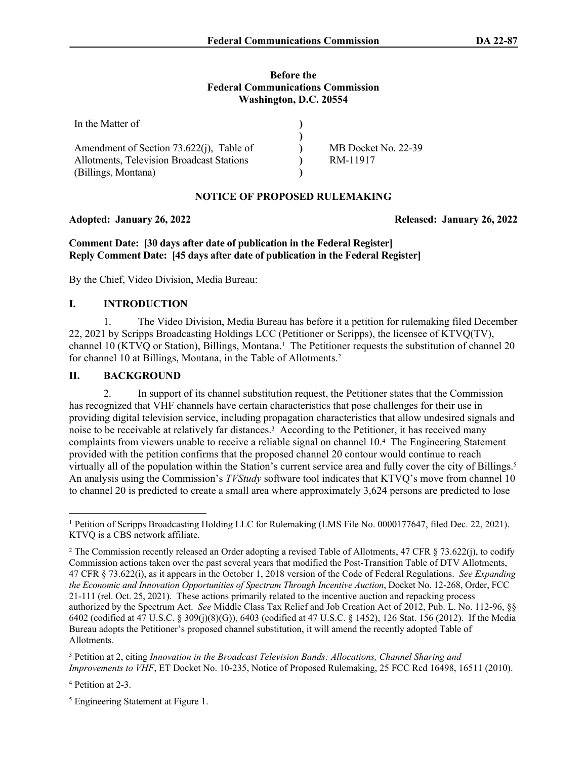#### **Before the Federal Communications Commission Washington, D.C. 20554**

| In the Matter of                          |                     |
|-------------------------------------------|---------------------|
|                                           |                     |
| Amendment of Section 73.622(j), Table of  | MB Docket No. 22-39 |
| Allotments, Television Broadcast Stations | RM-11917            |
| (Billings, Montana)                       |                     |

# **NOTICE OF PROPOSED RULEMAKING**

### **Adopted: January 26, 2022 Released: January 26, 2022**

**Comment Date: [30 days after date of publication in the Federal Register] Reply Comment Date: [45 days after date of publication in the Federal Register]**

By the Chief, Video Division, Media Bureau:

# **I. INTRODUCTION**

1. The Video Division, Media Bureau has before it a petition for rulemaking filed December 22, 2021 by Scripps Broadcasting Holdings LCC (Petitioner or Scripps), the licensee of KTVQ(TV), channel 10 (KTVQ or Station), Billings, Montana.<sup>1</sup> The Petitioner requests the substitution of channel 20 for channel 10 at Billings, Montana, in the Table of Allotments.<sup>2</sup>

## **II. BACKGROUND**

2. In support of its channel substitution request, the Petitioner states that the Commission has recognized that VHF channels have certain characteristics that pose challenges for their use in providing digital television service, including propagation characteristics that allow undesired signals and noise to be receivable at relatively far distances.<sup>3</sup> According to the Petitioner, it has received many complaints from viewers unable to receive a reliable signal on channel 10.<sup>4</sup> The Engineering Statement provided with the petition confirms that the proposed channel 20 contour would continue to reach virtually all of the population within the Station's current service area and fully cover the city of Billings.<sup>5</sup> An analysis using the Commission's *TVStudy* software tool indicates that KTVQ's move from channel 10 to channel 20 is predicted to create a small area where approximately 3,624 persons are predicted to lose

4 Petition at 2-3.

<sup>5</sup> Engineering Statement at Figure 1.

<sup>1</sup> Petition of Scripps Broadcasting Holding LLC for Rulemaking (LMS File No. 0000177647, filed Dec. 22, 2021). KTVQ is a CBS network affiliate.

<sup>&</sup>lt;sup>2</sup> The Commission recently released an Order adopting a revised Table of Allotments, 47 CFR § 73.622(j), to codify Commission actions taken over the past several years that modified the Post-Transition Table of DTV Allotments, 47 CFR § 73.622(i), as it appears in the October 1, 2018 version of the Code of Federal Regulations. *See Expanding the Economic and Innovation Opportunities of Spectrum Through Incentive Auction*, Docket No. 12-268, Order, FCC 21-111 (rel. Oct. 25, 2021). These actions primarily related to the incentive auction and repacking process authorized by the Spectrum Act. *See* Middle Class Tax Relief and Job Creation Act of 2012, Pub. L. No. 112-96, §§ 6402 (codified at 47 U.S.C. § 309(j)(8)(G)), 6403 (codified at 47 U.S.C. § 1452), 126 Stat. 156 (2012). If the Media Bureau adopts the Petitioner's proposed channel substitution, it will amend the recently adopted Table of Allotments.

<sup>3</sup> Petition at 2, citing *Innovation in the Broadcast Television Bands: Allocations, Channel Sharing and Improvements to VHF*, ET Docket No. 10-235, Notice of Proposed Rulemaking, 25 FCC Rcd 16498, 16511 (2010).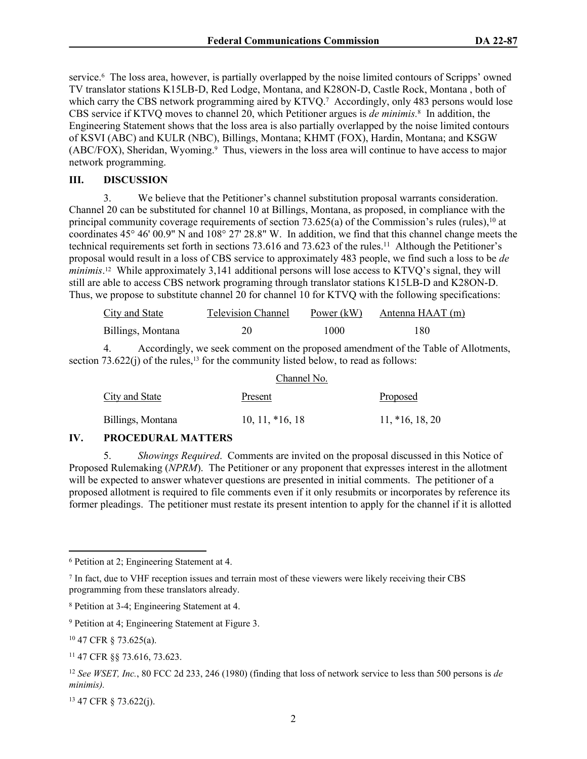service.<sup>6</sup> The loss area, however, is partially overlapped by the noise limited contours of Scripps' owned TV translator stations K15LB-D, Red Lodge, Montana, and K28ON-D, Castle Rock, Montana , both of which carry the CBS network programming aired by KTVQ.<sup>7</sup> Accordingly, only 483 persons would lose CBS service if KTVQ moves to channel 20, which Petitioner argues is *de minimis.*<sup>8</sup> In addition, the Engineering Statement shows that the loss area is also partially overlapped by the noise limited contours of KSVI (ABC) and KULR (NBC), Billings, Montana; KHMT (FOX), Hardin, Montana; and KSGW (ABC/FOX), Sheridan, Wyoming.<sup>9</sup> Thus, viewers in the loss area will continue to have access to major network programming.

#### **III. DISCUSSION**

3. We believe that the Petitioner's channel substitution proposal warrants consideration. Channel 20 can be substituted for channel 10 at Billings, Montana, as proposed, in compliance with the principal community coverage requirements of section  $73.625(a)$  of the Commission's rules (rules),<sup>10</sup> at coordinates 45° 46' 00.9" N and 108° 27' 28.8" W. In addition, we find that this channel change meets the technical requirements set forth in sections 73.616 and 73.623 of the rules.<sup>11</sup> Although the Petitioner's proposal would result in a loss of CBS service to approximately 483 people, we find such a loss to be *de minimis*. <sup>12</sup> While approximately 3,141 additional persons will lose access to KTVQ's signal, they will still are able to access CBS network programing through translator stations K15LB-D and K28ON-D. Thus, we propose to substitute channel 20 for channel 10 for KTVQ with the following specifications:

| City and State    | <b>Television Channel</b> | Power $(kW)$ | Antenna HAAT (m) |
|-------------------|---------------------------|--------------|------------------|
| Billings, Montana |                           | 1000         | 180              |

4. Accordingly, we seek comment on the proposed amendment of the Table of Allotments, section  $73.622(i)$  of the rules,<sup>13</sup> for the community listed below, to read as follows:

|                       | Channel No.       |                   |
|-----------------------|-------------------|-------------------|
| <b>City and State</b> | Present           | <b>Proposed</b>   |
| Billings, Montana     | $10, 11, *16, 18$ | $11, *16, 18, 20$ |

## **IV. PROCEDURAL MATTERS**

5. *Showings Required*. Comments are invited on the proposal discussed in this Notice of Proposed Rulemaking (*NPRM*). The Petitioner or any proponent that expresses interest in the allotment will be expected to answer whatever questions are presented in initial comments. The petitioner of a proposed allotment is required to file comments even if it only resubmits or incorporates by reference its former pleadings. The petitioner must restate its present intention to apply for the channel if it is allotted

13 47 CFR § 73.622(j).

<sup>6</sup> Petition at 2; Engineering Statement at 4.

<sup>7</sup> In fact, due to VHF reception issues and terrain most of these viewers were likely receiving their CBS programming from these translators already.

<sup>8</sup> Petition at 3-4; Engineering Statement at 4.

<sup>9</sup> Petition at 4; Engineering Statement at Figure 3.

<sup>10</sup> 47 CFR § 73.625(a).

<sup>11</sup> 47 CFR §§ 73.616, 73.623.

<sup>12</sup> *See WSET, Inc.*, 80 FCC 2d 233, 246 (1980) (finding that loss of network service to less than 500 persons is *de minimis).*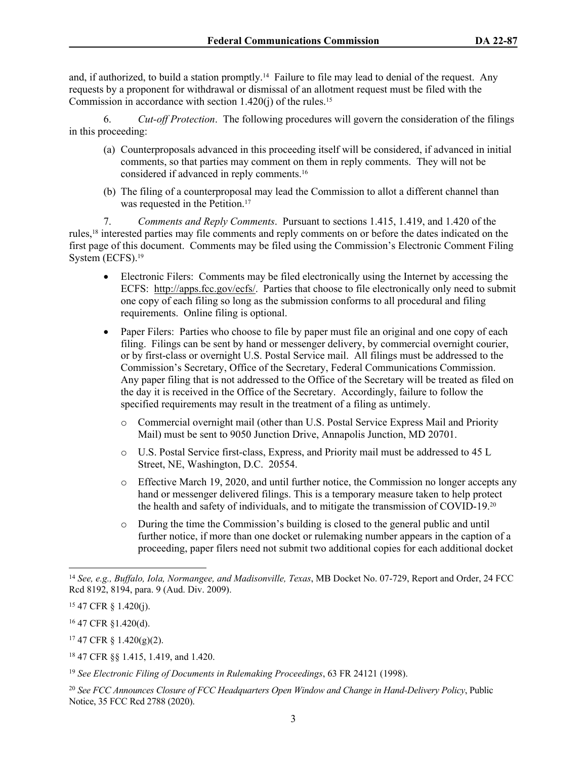and, if authorized, to build a station promptly.<sup>14</sup> Failure to file may lead to denial of the request. Any requests by a proponent for withdrawal or dismissal of an allotment request must be filed with the Commission in accordance with section  $1.420(i)$  of the rules.<sup>15</sup>

6. *Cut-off Protection*. The following procedures will govern the consideration of the filings in this proceeding:

- (a) Counterproposals advanced in this proceeding itself will be considered, if advanced in initial comments, so that parties may comment on them in reply comments. They will not be considered if advanced in reply comments.<sup>16</sup>
- (b) The filing of a counterproposal may lead the Commission to allot a different channel than was requested in the Petition.<sup>17</sup>

7. *Comments and Reply Comments*. Pursuant to sections 1.415, 1.419, and 1.420 of the rules,18 interested parties may file comments and reply comments on or before the dates indicated on the first page of this document. Comments may be filed using the Commission's Electronic Comment Filing System (ECFS).<sup>19</sup>

- Electronic Filers: Comments may be filed electronically using the Internet by accessing the ECFS: [http://apps.fcc.gov/ecfs/.](about:blank) Parties that choose to file electronically only need to submit one copy of each filing so long as the submission conforms to all procedural and filing requirements. Online filing is optional.
- Paper Filers: Parties who choose to file by paper must file an original and one copy of each filing. Filings can be sent by hand or messenger delivery, by commercial overnight courier, or by first-class or overnight U.S. Postal Service mail. All filings must be addressed to the Commission's Secretary, Office of the Secretary, Federal Communications Commission. Any paper filing that is not addressed to the Office of the Secretary will be treated as filed on the day it is received in the Office of the Secretary. Accordingly, failure to follow the specified requirements may result in the treatment of a filing as untimely.
	- o Commercial overnight mail (other than U.S. Postal Service Express Mail and Priority Mail) must be sent to 9050 Junction Drive, Annapolis Junction, MD 20701.
	- o U.S. Postal Service first-class, Express, and Priority mail must be addressed to 45 L Street, NE, Washington, D.C. 20554.
	- o Effective March 19, 2020, and until further notice, the Commission no longer accepts any hand or messenger delivered filings. This is a temporary measure taken to help protect the health and safety of individuals, and to mitigate the transmission of COVID-19.<sup>20</sup>
	- o During the time the Commission's building is closed to the general public and until further notice, if more than one docket or rulemaking number appears in the caption of a proceeding, paper filers need not submit two additional copies for each additional docket

<sup>14</sup> *See, e.g., Buffalo, Iola, Normangee, and Madisonville, Texas*, MB Docket No. 07-729, Report and Order, 24 FCC Rcd 8192, 8194, para. 9 (Aud. Div. 2009).

<sup>15</sup> 47 CFR § 1.420(j).

<sup>16</sup> 47 CFR §1.420(d).

 $17$  47 CFR § 1.420(g)(2).

<sup>18</sup> 47 CFR §§ 1.415, 1.419, and 1.420.

<sup>19</sup> *See Electronic Filing of Documents in Rulemaking Proceedings*, 63 FR 24121 (1998).

<sup>20</sup> *See FCC Announces Closure of FCC Headquarters Open Window and Change in Hand-Delivery Policy*, Public Notice, 35 FCC Rcd 2788 (2020).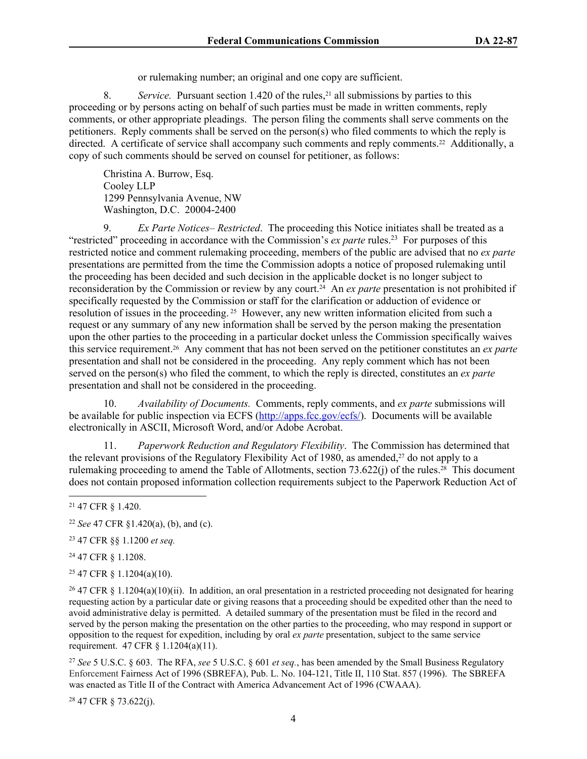or rulemaking number; an original and one copy are sufficient.

8. *Service.* Pursuant section 1.420 of the rules,<sup>21</sup> all submissions by parties to this proceeding or by persons acting on behalf of such parties must be made in written comments, reply comments, or other appropriate pleadings. The person filing the comments shall serve comments on the petitioners. Reply comments shall be served on the person(s) who filed comments to which the reply is directed. A certificate of service shall accompany such comments and reply comments.22 Additionally, a copy of such comments should be served on counsel for petitioner, as follows:

Christina A. Burrow, Esq. Cooley LLP 1299 Pennsylvania Avenue, NW Washington, D.C. 20004-2400

9. *Ex Parte Notices– Restricted*. The proceeding this Notice initiates shall be treated as a "restricted" proceeding in accordance with the Commission's *ex parte* rules.<sup>23</sup> For purposes of this restricted notice and comment rulemaking proceeding, members of the public are advised that no *ex parte* presentations are permitted from the time the Commission adopts a notice of proposed rulemaking until the proceeding has been decided and such decision in the applicable docket is no longer subject to reconsideration by the Commission or review by any court.24 An *ex parte* presentation is not prohibited if specifically requested by the Commission or staff for the clarification or adduction of evidence or resolution of issues in the proceeding. 25 However, any new written information elicited from such a request or any summary of any new information shall be served by the person making the presentation upon the other parties to the proceeding in a particular docket unless the Commission specifically waives this service requirement.26 Any comment that has not been served on the petitioner constitutes an *ex parte* presentation and shall not be considered in the proceeding. Any reply comment which has not been served on the person(s) who filed the comment, to which the reply is directed, constitutes an *ex parte* presentation and shall not be considered in the proceeding.

10. *Availability of Documents.* Comments, reply comments, and *ex parte* submissions will be available for public inspection via ECFS [\(http://apps.fcc.gov/ecfs/\)](http://apps.fcc.gov/ecfs/). Documents will be available electronically in ASCII, Microsoft Word, and/or Adobe Acrobat.

11. *Paperwork Reduction and Regulatory Flexibility*. The Commission has determined that the relevant provisions of the Regulatory Flexibility Act of 1980, as amended,27 do not apply to a rulemaking proceeding to amend the Table of Allotments, section 73.622(j) of the rules.<sup>28</sup> This document does not contain proposed information collection requirements subject to the Paperwork Reduction Act of

<sup>23</sup> 47 CFR §§ 1.1200 *et seq.*

<sup>24</sup> 47 CFR § 1.1208.

<sup>25</sup> 47 CFR § 1.1204(a)(10).

<sup>26</sup> 47 CFR § 1.1204(a)(10)(ii). In addition, an oral presentation in a restricted proceeding not designated for hearing requesting action by a particular date or giving reasons that a proceeding should be expedited other than the need to avoid administrative delay is permitted. A detailed summary of the presentation must be filed in the record and served by the person making the presentation on the other parties to the proceeding, who may respond in support or opposition to the request for expedition, including by oral *ex parte* presentation, subject to the same service requirement. 47 CFR § 1.1204(a)(11).

<sup>27</sup> *See* 5 U.S.C. § 603. The RFA, *see* 5 U.S.C. § 601 *et seq.*, has been amended by the Small Business Regulatory Enforcement Fairness Act of 1996 (SBREFA), Pub. L. No. 104-121, Title II, 110 Stat. 857 (1996). The SBREFA was enacted as Title II of the Contract with America Advancement Act of 1996 (CWAAA).

28 47 CFR § 73.622(j).

<sup>21</sup> 47 CFR § 1.420.

<sup>22</sup> *See* 47 CFR §1.420(a), (b), and (c).